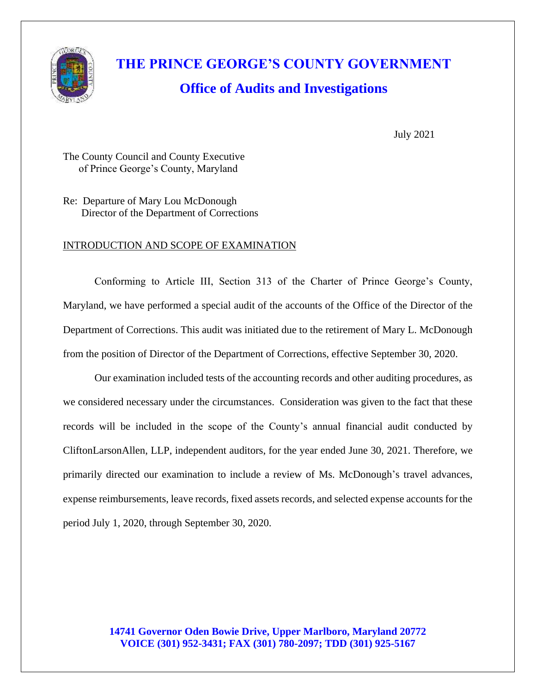

# **THE PRINCE GEORGE'S COUNTY GOVERNMENT Office of Audits and Investigations**

July 2021

The County Council and County Executive of Prince George's County, Maryland

Re: Departure of Mary Lou McDonough Director of the Department of Corrections

## INTRODUCTION AND SCOPE OF EXAMINATION

Conforming to Article III, Section 313 of the Charter of Prince George's County, Maryland, we have performed a special audit of the accounts of the Office of the Director of the Department of Corrections. This audit was initiated due to the retirement of Mary L. McDonough from the position of Director of the Department of Corrections, effective September 30, 2020.

Our examination included tests of the accounting records and other auditing procedures, as we considered necessary under the circumstances. Consideration was given to the fact that these records will be included in the scope of the County's annual financial audit conducted by CliftonLarsonAllen, LLP, independent auditors, for the year ended June 30, 2021. Therefore, we primarily directed our examination to include a review of Ms. McDonough's travel advances, expense reimbursements, leave records, fixed assets records, and selected expense accounts for the period July 1, 2020, through September 30, 2020.

## **14741 Governor Oden Bowie Drive, Upper Marlboro, Maryland 20772 VOICE (301) 952-3431; FAX (301) 780-2097; TDD (301) 925-5167**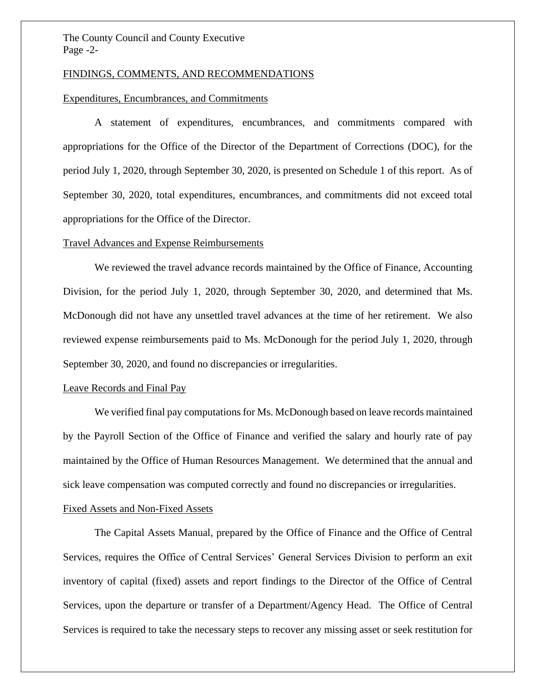The County Council and County Executive Page -2-

#### FINDINGS, COMMENTS, AND RECOMMENDATIONS

#### Expenditures, Encumbrances, and Commitments

A statement of expenditures, encumbrances, and commitments compared with appropriations for the Office of the Director of the Department of Corrections (DOC), for the period July 1, 2020, through September 30, 2020, is presented on Schedule 1 of this report. As of September 30, 2020, total expenditures, encumbrances, and commitments did not exceed total appropriations for the Office of the Director.

#### Travel Advances and Expense Reimbursements

We reviewed the travel advance records maintained by the Office of Finance, Accounting Division, for the period July 1, 2020, through September 30, 2020, and determined that Ms. McDonough did not have any unsettled travel advances at the time of her retirement. We also reviewed expense reimbursements paid to Ms. McDonough for the period July 1, 2020, through September 30, 2020, and found no discrepancies or irregularities.

#### Leave Records and Final Pay

We verified final pay computations for Ms. McDonough based on leave records maintained by the Payroll Section of the Office of Finance and verified the salary and hourly rate of pay maintained by the Office of Human Resources Management. We determined that the annual and sick leave compensation was computed correctly and found no discrepancies or irregularities.

#### Fixed Assets and Non-Fixed Assets

The Capital Assets Manual, prepared by the Office of Finance and the Office of Central Services, requires the Office of Central Services' General Services Division to perform an exit inventory of capital (fixed) assets and report findings to the Director of the Office of Central Services, upon the departure or transfer of a Department/Agency Head. The Office of Central Services is required to take the necessary steps to recover any missing asset or seek restitution for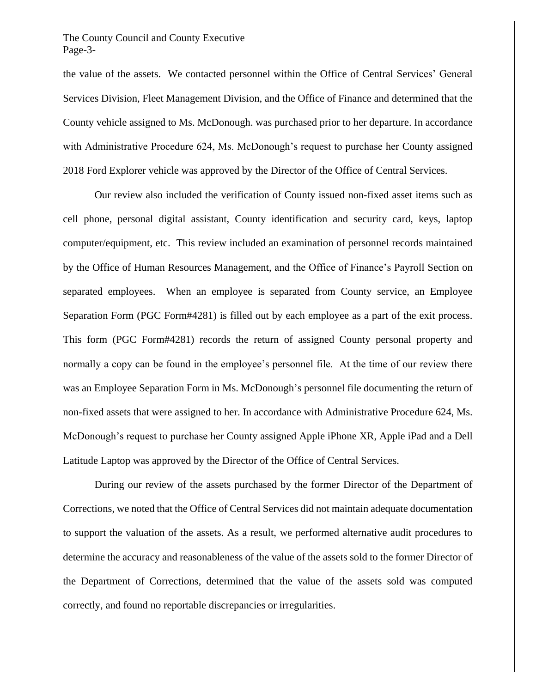### The County Council and County Executive Page-3-

the value of the assets. We contacted personnel within the Office of Central Services' General Services Division, Fleet Management Division, and the Office of Finance and determined that the County vehicle assigned to Ms. McDonough. was purchased prior to her departure. In accordance with Administrative Procedure 624, Ms. McDonough's request to purchase her County assigned 2018 Ford Explorer vehicle was approved by the Director of the Office of Central Services.

Our review also included the verification of County issued non-fixed asset items such as cell phone, personal digital assistant, County identification and security card, keys, laptop computer/equipment, etc. This review included an examination of personnel records maintained by the Office of Human Resources Management, and the Office of Finance's Payroll Section on separated employees. When an employee is separated from County service, an Employee Separation Form (PGC Form#4281) is filled out by each employee as a part of the exit process. This form (PGC Form#4281) records the return of assigned County personal property and normally a copy can be found in the employee's personnel file. At the time of our review there was an Employee Separation Form in Ms. McDonough's personnel file documenting the return of non-fixed assets that were assigned to her. In accordance with Administrative Procedure 624, Ms. McDonough's request to purchase her County assigned Apple iPhone XR, Apple iPad and a Dell Latitude Laptop was approved by the Director of the Office of Central Services.

During our review of the assets purchased by the former Director of the Department of Corrections, we noted that the Office of Central Services did not maintain adequate documentation to support the valuation of the assets. As a result, we performed alternative audit procedures to determine the accuracy and reasonableness of the value of the assets sold to the former Director of the Department of Corrections, determined that the value of the assets sold was computed correctly, and found no reportable discrepancies or irregularities.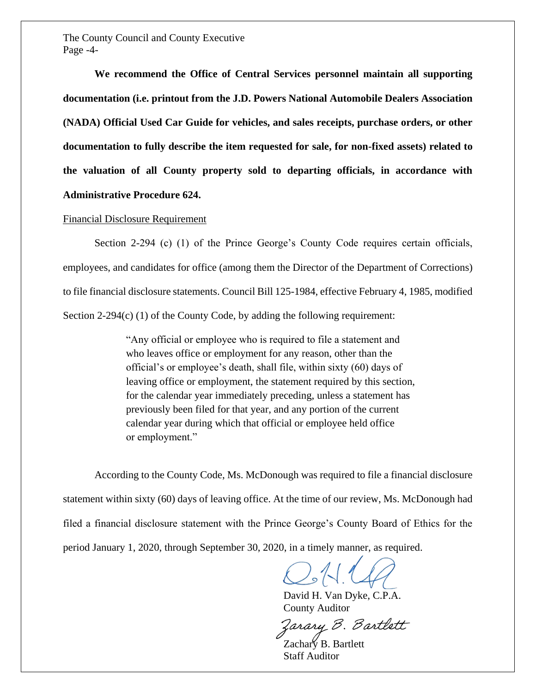The County Council and County Executive Page -4-

**We recommend the Office of Central Services personnel maintain all supporting documentation (i.e. printout from the J.D. Powers National Automobile Dealers Association (NADA) Official Used Car Guide for vehicles, and sales receipts, purchase orders, or other documentation to fully describe the item requested for sale, for non-fixed assets) related to the valuation of all County property sold to departing officials, in accordance with Administrative Procedure 624.**

#### Financial Disclosure Requirement

Section 2-294 (c) (1) of the Prince George's County Code requires certain officials, employees, and candidates for office (among them the Director of the Department of Corrections) to file financial disclosure statements. Council Bill 125-1984, effective February 4, 1985, modified Section 2-294 $(c)$  (1) of the County Code, by adding the following requirement:

> "Any official or employee who is required to file a statement and who leaves office or employment for any reason, other than the official's or employee's death, shall file, within sixty (60) days of leaving office or employment, the statement required by this section, for the calendar year immediately preceding, unless a statement has previously been filed for that year, and any portion of the current calendar year during which that official or employee held office or employment."

According to the County Code, Ms. McDonough was required to file a financial disclosure statement within sixty (60) days of leaving office. At the time of our review, Ms. McDonough had filed a financial disclosure statement with the Prince George's County Board of Ethics for the period January 1, 2020, through September 30, 2020, in a timely manner, as required.

David H. Van Dyke, C.P.A. County Auditor

Zarary B. Bartlett

Zachary B. Bartlett Staff Auditor